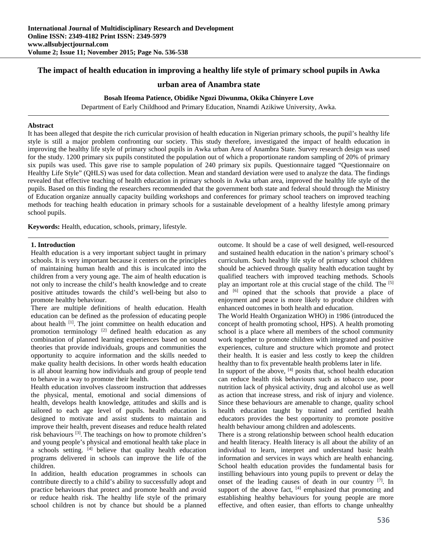# **The impact of health education in improving a healthy life style of primary school pupils in Awka**

## **urban area of Anambra state**

# **Bosah Ifeoma Patience, Obidike Ngozi Diwunma, Okika Chinyere Love**

Department of Early Childhood and Primary Education, Nnamdi Azikiwe University, Awka.

#### **Abstract**

It has been alleged that despite the rich curricular provision of health education in Nigerian primary schools, the pupil's healthy life style is still a major problem confronting our society. This study therefore, investigated the impact of health education in improving the healthy life style of primary school pupils in Awka urban Area of Anambra State. Survey research design was used for the study. 1200 primary six pupils constituted the population out of which a proportionate random sampling of 20% of primary six pupils was used. This gave rise to sample population of 240 primary six pupils. Questionnaire tagged "Questionnaire on Healthy Life Style" (QHLS) was used for data collection. Mean and standard deviation were used to analyze the data. The findings revealed that effective teaching of health education in primary schools in Awka urban area, improved the healthy life style of the pupils. Based on this finding the researchers recommended that the government both state and federal should through the Ministry of Education organize annually capacity building workshops and conferences for primary school teachers on improved teaching methods for teaching health education in primary schools for a sustainable development of a healthy lifestyle among primary school pupils.

**Keywords:** Health, education, schools, primary, lifestyle.

#### **1. Introduction**

Health education is a very important subject taught in primary schools. It is very important because it centers on the principles of maintaining human health and this is inculcated into the children from a very young age. The aim of health education is not only to increase the child's health knowledge and to create positive attitudes towards the child's well-being but also to promote healthy behaviour.

There are multiple definitions of health education. Health education can be defined as the profession of educating people about health <sup>[1]</sup>. The joint committee on health education and promotion terminology  $[2]$  defined health education as any combination of planned learning experiences based on sound theories that provide individuals, groups and communities the opportunity to acquire information and the skills needed to make quality health decisions. In other words health education is all about learning how individuals and group of people tend to behave in a way to promote their health.

Health education involves classroom instruction that addresses the physical, mental, emotional and social dimensions of health, develops health knowledge, attitudes and skills and is tailored to each age level of pupils. health education is designed to motivate and assist students to maintain and improve their health, prevent diseases and reduce health related risk behaviours [3]. The teachings on how to promote children's and young people's physical and emotional health take place in a schools setting.  $[4]$  believe that quality health education programs delivered in schools can improve the life of the children.

In addition, health education programmes in schools can contribute directly to a child's ability to successfully adopt and practice behaviours that protect and promote health and avoid or reduce health risk. The healthy life style of the primary school children is not by chance but should be a planned

outcome. It should be a case of well designed, well-resourced and sustained health education in the nation's primary school's curriculum. Such healthy life style of primary school children should be achieved through quality health education taught by qualified teachers with improved teaching methods. Schools play an important role at this crucial stage of the child. The [5] and [6] opined that the schools that provide a place of enjoyment and peace is more likely to produce children with enhanced outcomes in both health and education.

The World Health Organization WHO) in 1986 (introduced the concept of health promoting school, HPS). A health promoting school is a place where all members of the school community work together to promote children with integrated and positive experiences, culture and structure which promote and protect their health. It is easier and less costly to keep the children healthy than to fix preventable health problems later in life.

In support of the above,  $[4]$  posits that, school health education can reduce health risk behaviours such as tobacco use, poor nutrition lack of physical activity, drug and alcohol use as well as action that increase stress, and risk of injury and violence. Since these behaviours are amenable to change, quality school health education taught by trained and certified health educators provides the best opportunity to promote positive health behaviour among children and adolescents.

There is a strong relationship between school health education and health literacy. Health literacy is all about the ability of an individual to learn, interpret and understand basic health information and services in ways which are health enhancing. School health education provides the fundamental basis for instilling behaviours into young pupils to prevent or delay the onset of the leading causes of death in our country  $[7]$ . In support of the above fact,  $[4]$  emphasized that promoting and establishing healthy behaviours for young people are more effective, and often easier, than efforts to change unhealthy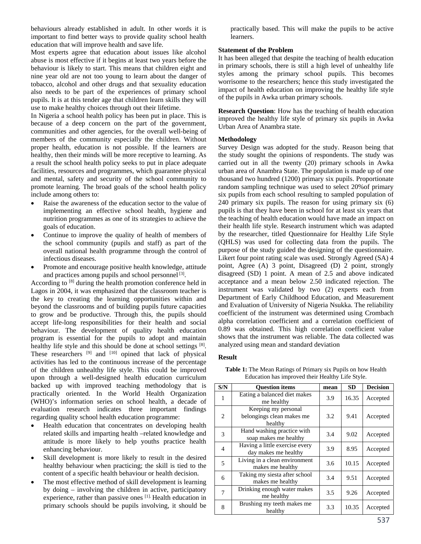behaviours already established in adult. In other words it is important to find better ways to provide quality school health education that will improve health and save life.

Most experts agree that education about issues like alcohol abuse is most effective if it begins at least two years before the behaviour is likely to start. This means that children eight and nine year old are not too young to learn about the danger of tobacco, alcohol and other drugs and that sexuality education also needs to be part of the experiences of primary school pupils. It is at this tender age that children learn skills they will use to make healthy choices through out their lifetime.

In Nigeria a school health policy has been put in place. This is because of a deep concern on the part of the government, communities and other agencies, for the overall well-being of members of the community especially the children. Without proper health, education is not possible. If the learners are healthy, then their minds will be more receptive to learning. As a result the school health policy seeks to put in place adequate facilities, resources and programmes, which guarantee physical and mental, safety and security of the school community to promote learning. The broad goals of the school health policy include among others to:

- Raise the awareness of the education sector to the value of implementing an effective school health, hygiene and nutrition programmes as one of its strategies to achieve the goals of education.
- Continue to improve the quality of health of members of the school community (pupils and staff) as part of the overall national health programme through the control of infectious diseases.
- Promote and encourage positive health knowledge, attitude and practices among pupils and school personnel [3].

According to <sup>[8]</sup> during the health promotion conference held in Lagos in 2004, it was emphasized that the classroom teacher is the key to creating the learning opportunities within and beyond the classrooms and of building pupils future capacities to grow and be productive. Through this, the pupils should accept life-long responsibilities for their health and social behaviour. The development of quality health education program is essential for the pupils to adopt and maintain healthy life style and this should be done at school settings [8]. These researchers  $[9]$  and  $[10]$  opined that lack of physical activities has led to the continuous increase of the percentage of the children unhealthy life style. This could be improved upon through a well-designed health education curriculum backed up with improved teaching methodology that is practically oriented. In the World Health Organization (WHO)'s information series on school health, a decade of evaluation research indicates three important findings regarding quality school health education programme:

- Health education that concentrates on developing health related skills and imparting health –related knowledge and attitude is more likely to help youths practice health enhancing behaviour.
- Skill development is more likely to result in the desired healthy behaviour when practicing; the skill is tied to the content of a specific health behaviour or health decision.
- The most effective method of skill development is learning by doing – involving the children in active, participatory experience, rather than passive ones [1]. Health education in primary schools should be pupils involving, it should be

practically based. This will make the pupils to be active learners.

# **Statement of the Problem**

It has been alleged that despite the teaching of health education in primary schools, there is still a high level of unhealthy life styles among the primary school pupils. This becomes worrisome to the researchers; hence this study investigated the impact of health education on improving the healthy life style of the pupils in Awka urban primary schools.

**Research Question**: How has the teaching of health education improved the healthy life style of primary six pupils in Awka Urban Area of Anambra state.

### **Methodology**

Survey Design was adopted for the study. Reason being that the study sought the opinions of respondents. The study was carried out in all the twenty (20) primary schools in Awka urban area of Anambra State. The population is made up of one thousand two hundred (1200) primary six pupils. Proportionate random sampling technique was used to select 20%of primary six pupils from each school resulting to sampled population of 240 primary six pupils. The reason for using primary six (6) pupils is that they have been in school for at least six years that the teaching of health education would have made an impact on their health life style. Research instrument which was adapted by the researcher, titled Questionnaire for Healthy Life Style (QHLS) was used for collecting data from the pupils. The purpose of the study guided the designing of the questionnaire. Likert four point rating scale was used. Strongly Agreed (SA) 4 point, Agree (A) 3 point, Disagreed (D) 2 point, strongly disagreed (SD) 1 point. A mean of 2.5 and above indicated acceptance and a mean below 2.50 indicated rejection. The instrument was validated by two (2) experts each from Department of Early Childhood Education, and Measurement and Evaluation of University of Nigeria Nsukka. The reliability coefficient of the instrument was determined using Crombach alpha correlation coefficient and a correlation coefficient of 0.89 was obtained. This high correlation coefficient value shows that the instrument was reliable. The data collected was analyzed using mean and standard deviation

#### **Result**

| S/N            | <b>Ouestion items</b>                                       | mean | <b>SD</b> | <b>Decision</b> |
|----------------|-------------------------------------------------------------|------|-----------|-----------------|
| 1              | Eating a balanced diet makes<br>me healthy                  | 3.9  | 16.35     | Accepted        |
| 2              | Keeping my personal<br>belongings clean makes me<br>healthy | 3.2  | 9.41      | Accepted        |
| 3              | Hand washing practice with<br>soap makes me healthy         | 3.4  | 9.02      | Accepted        |
| $\overline{4}$ | Having a little exercise every<br>day makes me healthy      | 3.9  | 8.95      | Accepted        |
| 5              | Living in a clean environment<br>makes me healthy           | 3.6  | 10.15     | Accepted        |
| 6              | Taking my siesta after school<br>makes me healthy           | 3.4  | 9.51      | Accepted        |
| 7              | Drinking enough water makes<br>me healthy                   | 3.5  | 9.26      | Accepted        |
| 8              | Brushing my teeth makes me<br>healthy                       | 3.3  | 10.35     | Accepted        |
|                |                                                             |      |           |                 |

**Table 1:** The Mean Ratings of Primary six Pupils on how Health Education has improved their Healthy Life Style.